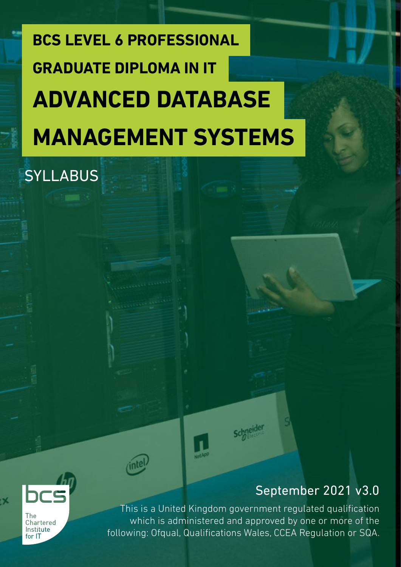# **BCS LEVEL 6 PROFESSIONAL ADVANCED DATABASE MANAGEMENT SYSTEMS GRADUATE DIPLOMA IN IT**

### **SYLLABUS**

### September 2021 v3.0



-X

This is a United Kingdom government regulated qualification which is administered and approved by one or more of the following: Ofqual, Qualifications Wales, CCEA Regulation or SQA.

**Schneider**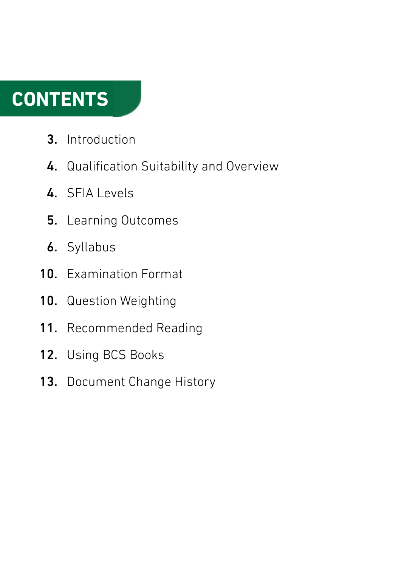### **CONTENTS**

- Introduction 3.
- 4. Qualification Suitability and Overview
- 4. SFIA Levels
- Learning Outcomes 5.
- **6.** Syllabus
- 10. Examination Format
- Question Weighting 10.
- Recommended Reading 11.
- Using BCS Books 12.
- Document Change History 13.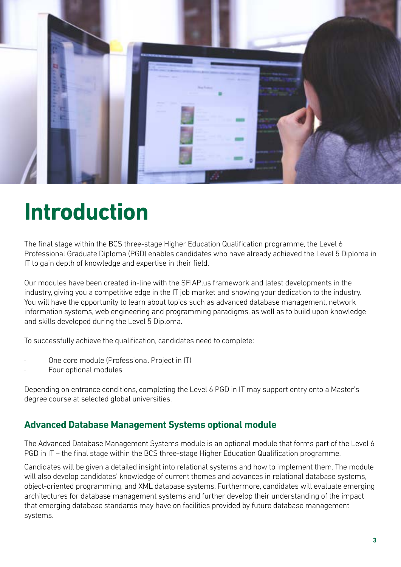

### **Introduction**

The final stage within the BCS three-stage Higher Education Qualification programme, the Level 6 Professional Graduate Diploma (PGD) enables candidates who have already achieved the Level 5 Diploma in IT to gain depth of knowledge and expertise in their field.

Our modules have been created in-line with the SFIAPlus framework and latest developments in the industry, giving you a competitive edge in the IT job market and showing your dedication to the industry. You will have the opportunity to learn about topics such as advanced database management, network information systems, web engineering and programming paradigms, as well as to build upon knowledge and skills developed during the Level 5 Diploma.

To successfully achieve the qualification, candidates need to complete:

- · One core module (Professional Project in IT)
- Four optional modules

Depending on entrance conditions, completing the Level 6 PGD in IT may support entry onto a Master's degree course at selected global universities.

#### **Advanced Database Management Systems optional module**

The Advanced Database Management Systems module is an optional module that forms part of the Level 6 PGD in IT – the final stage within the BCS three-stage Higher Education Qualification programme.

Candidates will be given a detailed insight into relational systems and how to implement them. The module will also develop candidates' knowledge of current themes and advances in relational database systems, object-oriented programming, and XML database systems. Furthermore, candidates will evaluate emerging architectures for database management systems and further develop their understanding of the impact that emerging database standards may have on facilities provided by future database management systems.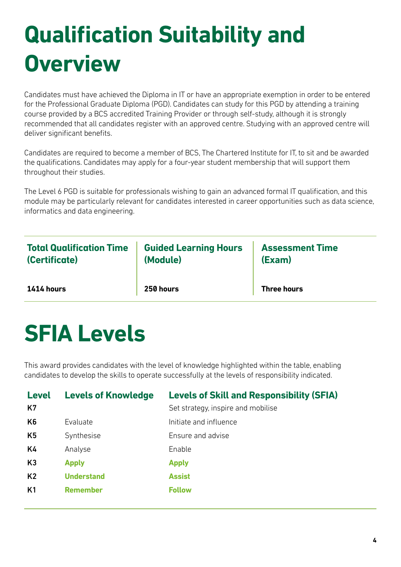# **Qualification Suitability and Overview**

Candidates must have achieved the Diploma in IT or have an appropriate exemption in order to be entered for the Professional Graduate Diploma (PGD). Candidates can study for this PGD by attending a training course provided by a BCS accredited Training Provider or through self-study, although it is strongly recommended that all candidates register with an approved centre. Studying with an approved centre will deliver significant benefits.

Candidates are required to become a member of BCS, The Chartered Institute for IT, to sit and be awarded the qualifications. Candidates may apply for a four-year student membership that will support them throughout their studies.

The Level 6 PGD is suitable for professionals wishing to gain an advanced formal IT qualification, and this module may be particularly relevant for candidates interested in career opportunities such as data science, informatics and data engineering.

| <b>Total Qualification Time</b> | <b>Guided Learning Hours</b> | <b>Assessment Time</b> |
|---------------------------------|------------------------------|------------------------|
| (Certificate)                   | (Module)                     | (Exam)                 |
| 1414 hours                      | 250 hours                    | <b>Three hours</b>     |

### **SFIA Levels**

This award provides candidates with the level of knowledge highlighted within the table, enabling candidates to develop the skills to operate successfully at the levels of responsibility indicated.

| <b>Level</b><br>K7 | <b>Levels of Knowledge</b> | <b>Levels of Skill and Responsibility (SFIA)</b><br>Set strategy, inspire and mobilise |
|--------------------|----------------------------|----------------------------------------------------------------------------------------|
| K <sub>6</sub>     | Evaluate                   | Initiate and influence                                                                 |
| K5                 | Synthesise                 | Ensure and advise                                                                      |
| K4                 | Analyse                    | Enable                                                                                 |
| K3                 | <b>Apply</b>               | <b>Apply</b>                                                                           |
| K <sub>2</sub>     | <b>Understand</b>          | <b>Assist</b>                                                                          |
| K <sub>1</sub>     | <b>Remember</b>            | <b>Follow</b>                                                                          |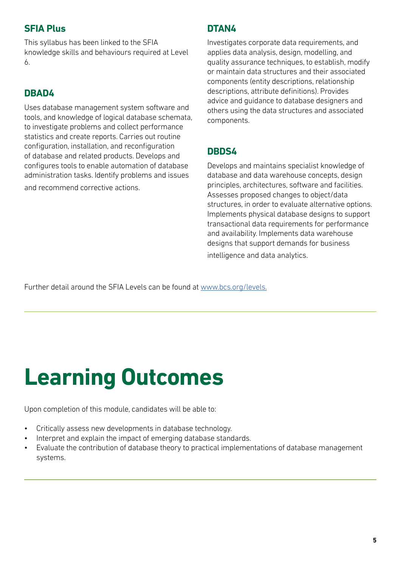#### **SFIA Plus**

This syllabus has been linked to the SFIA knowledge skills and behaviours required at Level 6.

#### **DBAD4**

Uses database management system software and tools, and knowledge of logical database schemata, to investigate problems and collect performance statistics and create reports. Carries out routine configuration, installation, and reconfiguration of database and related products. Develops and configures tools to enable automation of database administration tasks. Identify problems and issues and recommend corrective actions.

#### **DTAN4**

Investigates corporate data requirements, and applies data analysis, design, modelling, and quality assurance techniques, to establish, modify or maintain data structures and their associated components (entity descriptions, relationship descriptions, attribute definitions). Provides advice and guidance to database designers and others using the data structures and associated components.

#### **DBDS4**

Develops and maintains specialist knowledge of database and data warehouse concepts, design principles, architectures, software and facilities. Assesses proposed changes to object/data structures, in order to evaluate alternative options. Implements physical database designs to support transactional data requirements for performance and availability. Implements data warehouse designs that support demands for business intelligence and data analytics.

Further detail around the SFIA Levels can be found at [www.bcs.org/levels.](https://www.bcs.org/media/5165/sfia-levels-knowledge.pdf)

# **Learning Outcomes**

Upon completion of this module, candidates will be able to:

- Critically assess new developments in database technology.
- Interpret and explain the impact of emerging database standards.
- Evaluate the contribution of database theory to practical implementations of database management systems.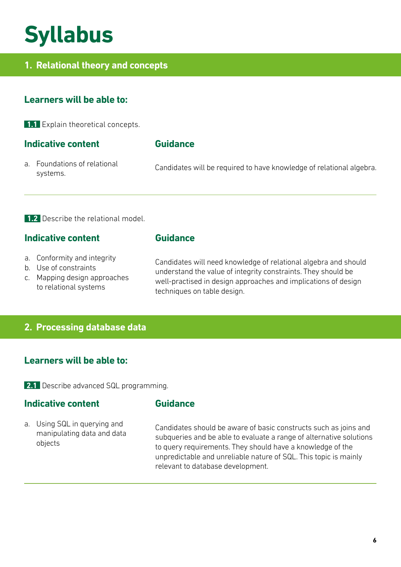### **Syllabus**

#### **1. Relational theory and concepts**

#### **Learners will be able to:**

**1.1** Explain theoretical concepts.

#### **Indicative content**

#### **Guidance**

**Guidance**

a. Foundations of relational systems.

Candidates will be required to have knowledge of relational algebra.

**1.2** Describe the relational model.

#### **Indicative content**

- a. Conformity and integrity
- b. Use of constraints
- c. Mapping design approaches to relational systems

Candidates will need knowledge of relational algebra and should understand the value of integrity constraints. They should be well-practised in design approaches and implications of design techniques on table design.

#### **2. Processing database data**

#### **Learners will be able to:**

**2.1** Describe advanced SQL programming.

#### **Indicative content**

#### **Guidance**

a. Using SQL in querying and manipulating data and data objects

Candidates should be aware of basic constructs such as joins and subqueries and be able to evaluate a range of alternative solutions to query requirements. They should have a knowledge of the unpredictable and unreliable nature of SQL. This topic is mainly relevant to database development.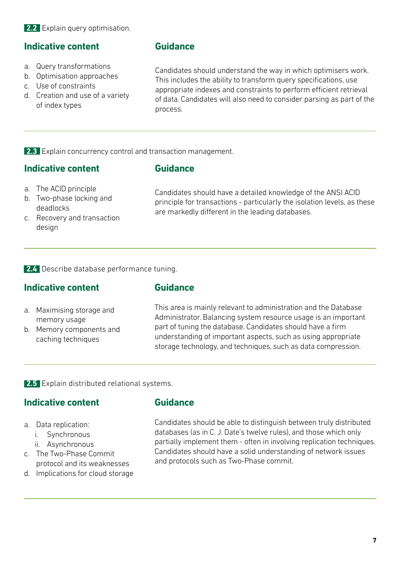**2.2** Explain query optimisation.

#### **Indicative content**

- a. Query transformations
- b. Optimisation approaches
- c. Use of constraints
- d. Creation and use of a variety of index types

#### **Guidance**

Candidates should understand the way in which optimisers work. This includes the ability to transform query specifications, use appropriate indexes and constraints to perform efficient retrieval of data. Candidates will also need to consider parsing as part of the process.

**2.3** Explain concurrency control and transaction management.

#### **Indicative content**

#### **Guidance**

- a. The ACID principle
- b. Two-phase locking and deadlocks
- c. Recovery and transaction design

Candidates should have a detailed knowledge of the ANSI ACID principle for transactions - particularly the isolation levels, as these are markedly different in the leading databases.

**2.4** Describe database performance tuning.

#### **Indicative content**

#### **Guidance**

- a. Maximising storage and memory usage
- b. Memory components and caching techniques

This area is mainly relevant to administration and the Database Administrator. Balancing system resource usage is an important part of tuning the database. Candidates should have a firm understanding of important aspects, such as using appropriate storage technology, and techniques, such as data compression.

**2.5** Explain distributed relational systems.

#### **Indicative content**

#### **Guidance**

a. Data replication:

- i. Synchronous
- ii. Asynchronous
- c. The Two-Phase Commit protocol and its weaknesses
- d. Implications for cloud storage

Candidates should be able to distinguish between truly distributed databases (as in C. J. Date's twelve rules), and those which only partially implement them - often in involving replication techniques. Candidates should have a solid understanding of network issues and protocols such as Two-Phase commit.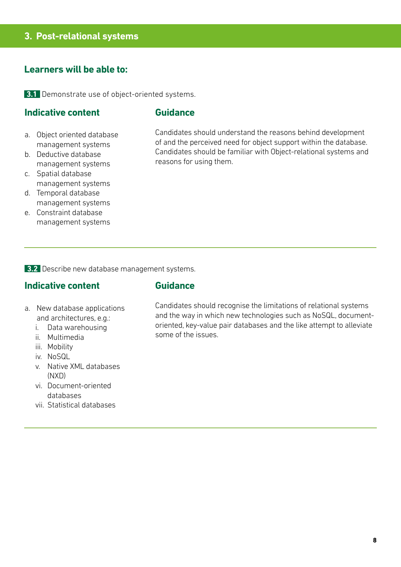#### **3. Post-relational systems**

#### **Learners will be able to:**

**3.1** Demonstrate use of object-oriented systems.

#### **Indicative content**

#### **Guidance**

- a. Object oriented database management systems
- b. Deductive database management systems
- c. Spatial database management systems
- d. Temporal database management systems
- e. Constraint database management systems

Candidates should understand the reasons behind development of and the perceived need for object support within the database. Candidates should be familiar with Object-relational systems and reasons for using them.

**3.2** Describe new database management systems.

#### **Indicative content**

#### **Guidance**

- a. New database applications and architectures, e.g.:
	- i. Data warehousing
	- ii. Multimedia
	- iii. Mobility
	- iv. NoSQL
	- v. Native XML databases (NXD)
	- vi. Document-oriented databases
	- vii. Statistical databases

Candidates should recognise the limitations of relational systems and the way in which new technologies such as NoSQL, documentoriented, key-value pair databases and the like attempt to alleviate some of the issues.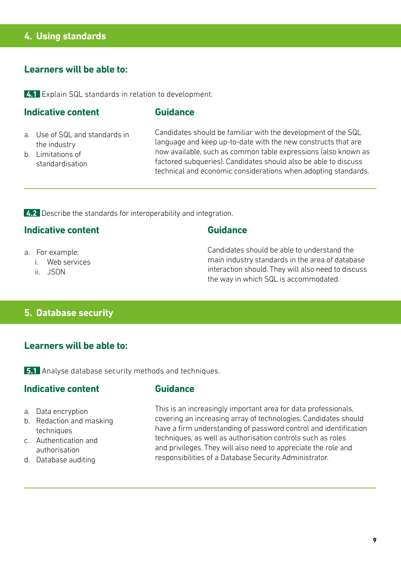#### **4. Using standards**

#### **Learners will be able to:**

**4.1** Explain SQL standards in relation to development.

#### **Indicative content**

#### **Guidance**

- a. Use of SQL and standards in the industry
- b. Limitations of standardisation

Candidates should be familiar with the development of the SQL language and keep up-to-date with the new constructs that are now available, such as common table expressions (also known as factored subqueries). Candidates should also be able to discuss technical and economic considerations when adopting standards.

**4.2** Describe the standards for interoperability and integration.

#### **Indicative content**

- a. For example:
	- i. Web services
	- ii. JSON

#### **Guidance**

Candidates should be able to understand the main industry standards in the area of database interaction should. They will also need to discuss the way in which SQL is accommodated.

#### **5. Database security**

#### **Learners will be able to:**

**5.1** Analyse database security methods and techniques.

#### **Indicative content**

#### **Guidance**

- a. Data encryption
- b. Redaction and masking techniques
- c. Authentication and authorisation
- d. Database auditing

This is an increasingly important area for data professionals, covering an increasing array of technologies. Candidates should have a firm understanding of password control and identification techniques, as well as authorisation controls such as roles and privileges. They will also need to appreciate the role and responsibilities of a Database Security Administrator.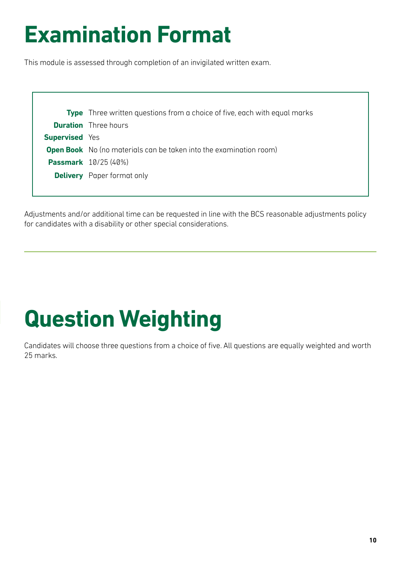### **Examination Format**

This module is assessed through completion of an invigilated written exam.

|                       | <b>Type</b> Three written questions from a choice of five, each with equal marks |
|-----------------------|----------------------------------------------------------------------------------|
|                       | <b>Duration</b> Three hours                                                      |
| <b>Supervised</b> Yes |                                                                                  |
|                       | <b>Open Book</b> No (no materials can be taken into the examination room)        |
|                       | <b>Passmark</b> 10/25 (40%)                                                      |
|                       | <b>Delivery</b> Paper format only                                                |
|                       |                                                                                  |

Adjustments and/or additional time can be requested in line with the BCS reasonable adjustments policy for candidates with a disability or other special considerations.

# **Question Weighting**

Candidates will choose three questions from a choice of five. All questions are equally weighted and worth 25 marks.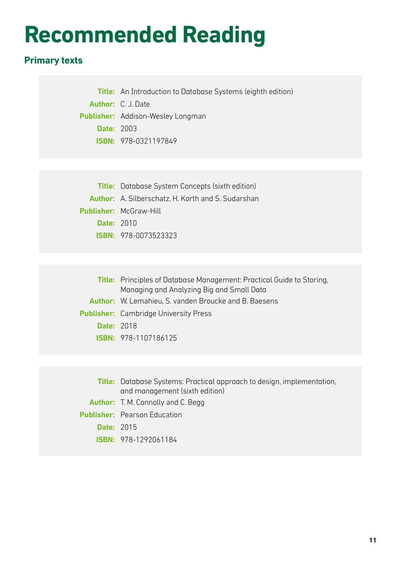### **Recommended Reading**

#### **Primary texts**

**Title:** An Introduction to Database Systems (eighth edition) **Author:** C. J. Date **Publisher:** Addison-Wesley Longman **Date:** 2003 **ISBN:** 978-0321197849

| <b>Title:</b> Database System Concepts (sixth edition)    |  |
|-----------------------------------------------------------|--|
| <b>Author:</b> A. Silberschatz, H. Korth and S. Sudarshan |  |
| <b>Publisher: McGraw-Hill</b>                             |  |
| <b>Date: 2010</b>                                         |  |
| <b>ISBN: 978-0073523323</b>                               |  |
|                                                           |  |

|                   | <b>Title:</b> Principles of Database Management: Practical Guide to Storing, |
|-------------------|------------------------------------------------------------------------------|
|                   | Managing and Analyzing Big and Small Data                                    |
|                   | <b>Author:</b> W. Lemahieu, S. vanden Broucke and B. Baesens                 |
|                   | <b>Publisher:</b> Cambridge University Press                                 |
| <b>Date: 2018</b> |                                                                              |
|                   | <b>ISBN: 978-1107186125</b>                                                  |

|                   | <b>Title:</b> Database Systems: Practical approach to design, implementation, |
|-------------------|-------------------------------------------------------------------------------|
|                   | and management (sixth edition)                                                |
|                   | <b>Author:</b> T. M. Connolly and C. Begg                                     |
|                   | <b>Publisher:</b> Pearson Education                                           |
| <b>Date: 2015</b> |                                                                               |
|                   | <b>ISBN: 978-1292061184</b>                                                   |
|                   |                                                                               |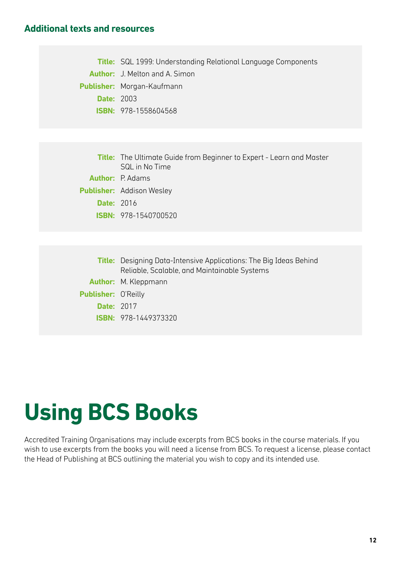#### **Additional texts and resources**

**Title:** SQL 1999: Understanding Relational Language Components **Author:** J. Melton and A. Simon **Publisher:** Morgan-Kaufmann **Date:** 2003 **ISBN:** 978-1558604568

**Title:** The Ultimate Guide from Beginner to Expert - Learn and Master SQL in No Time **Author:** P. Adams **Publisher:** Addison Wesley **Date:** 2016 **ISBN:** 978-1540700520

|                            | <b>Title:</b> Designing Data-Intensive Applications: The Big Ideas Behind<br>Reliable, Scalable, and Maintainable Systems |
|----------------------------|---------------------------------------------------------------------------------------------------------------------------|
|                            | <b>Author:</b> M. Kleppmann                                                                                               |
| <b>Publisher: O'Reilly</b> |                                                                                                                           |
| <b>Date: 2017</b>          |                                                                                                                           |
|                            | <b>ISBN: 978-1449373320</b>                                                                                               |

### **Using BCS Books**

Accredited Training Organisations may include excerpts from BCS books in the course materials. If you wish to use excerpts from the books you will need a license from BCS. To request a license, please contact the Head of Publishing at BCS outlining the material you wish to copy and its intended use.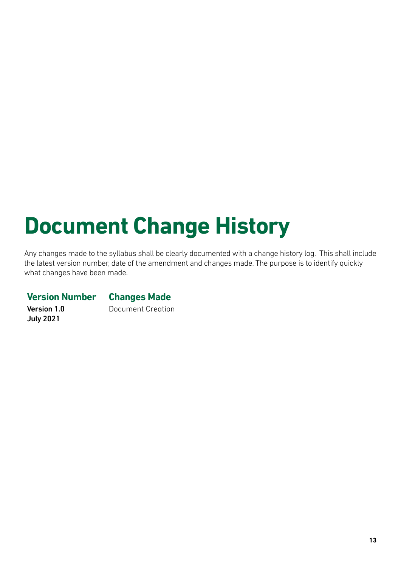# **Document Change History**

Any changes made to the syllabus shall be clearly documented with a change history log. This shall include the latest version number, date of the amendment and changes made. The purpose is to identify quickly what changes have been made.

#### **Version Number Changes Made**

Version 1.0 July 2021

Document Creation